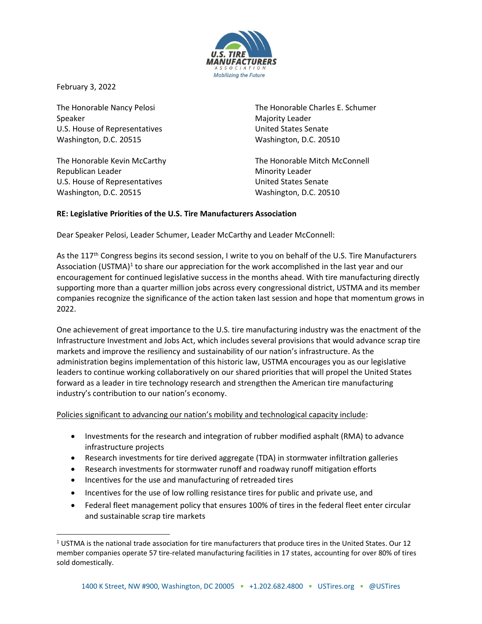

February 3, 2022

The Honorable Nancy Pelosi Speaker U.S. House of Representatives Washington, D.C. 20515

The Honorable Kevin McCarthy Republican Leader U.S. House of Representatives Washington, D.C. 20515

The Honorable Charles E. Schumer Majority Leader United States Senate Washington, D.C. 20510

The Honorable Mitch McConnell Minority Leader United States Senate Washington, D.C. 20510

#### **RE: Legislative Priorities of the U.S. Tire Manufacturers Association**

Dear Speaker Pelosi, Leader Schumer, Leader McCarthy and Leader McConnell:

As the 117<sup>th</sup> Congress begins its second session, I write to you on behalf of the U.S. Tire Manufacturers Association (USTMA)<sup>1</sup> to share our appreciation for the work accomplished in the last year and our encouragement for continued legislative success in the months ahead. With tire manufacturing directly supporting more than a quarter million jobs across every congressional district, USTMA and its member companies recognize the significance of the action taken last session and hope that momentum grows in 2022.

One achievement of great importance to the U.S. tire manufacturing industry was the enactment of the Infrastructure Investment and Jobs Act, which includes several provisions that would advance scrap tire markets and improve the resiliency and sustainability of our nation's infrastructure. As the administration begins implementation of this historic law, USTMA encourages you as our legislative leaders to continue working collaboratively on our shared priorities that will propel the United States forward as a leader in tire technology research and strengthen the American tire manufacturing industry's contribution to our nation's economy.

Policies significant to advancing our nation's mobility and technological capacity include:

- Investments for the research and integration of rubber modified asphalt (RMA) to advance infrastructure projects
- Research investments for tire derived aggregate (TDA) in stormwater infiltration galleries
- Research investments for stormwater runoff and roadway runoff mitigation efforts
- Incentives for the use and manufacturing of retreaded tires
- Incentives for the use of low rolling resistance tires for public and private use, and
- Federal fleet management policy that ensures 100% of tires in the federal fleet enter circular and sustainable scrap tire markets

<sup>1</sup> USTMA is the national trade association for tire manufacturers that produce tires in the United States. Our 12 member companies operate 57 tire-related manufacturing facilities in 17 states, accounting for over 80% of tires sold domestically.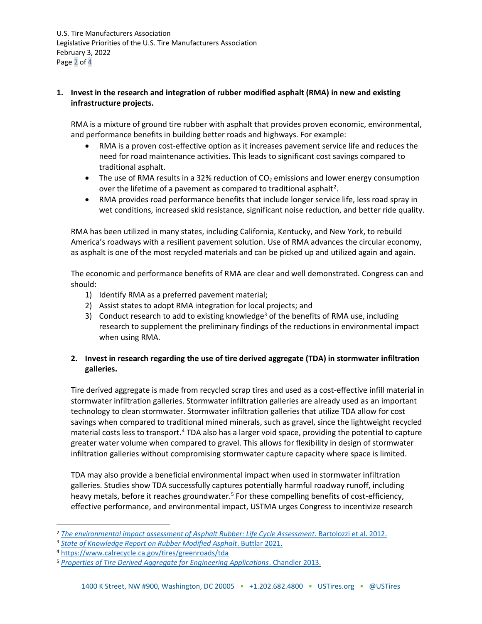U.S. Tire Manufacturers Association Legislative Priorities of the U.S. Tire Manufacturers Association February 3, 2022 Page 2 of 4

#### **1. Invest in the research and integration of rubber modified asphalt (RMA) in new and existing infrastructure projects.**

RMA is a mixture of ground tire rubber with asphalt that provides proven economic, environmental, and performance benefits in building better roads and highways. For example:

- RMA is a proven cost-effective option as it increases pavement service life and reduces the need for road maintenance activities. This leads to significant cost savings compared to traditional asphalt.
- The use of RMA results in a 32% reduction of  $CO<sub>2</sub>$  emissions and lower energy consumption over the lifetime of a pavement as compared to traditional asphalt<sup>2</sup>.
- RMA provides road performance benefits that include longer service life, less road spray in wet conditions, increased skid resistance, significant noise reduction, and better ride quality.

RMA has been utilized in many states, including California, Kentucky, and New York, to rebuild America's roadways with a resilient pavement solution. Use of RMA advances the circular economy, as asphalt is one of the most recycled materials and can be picked up and utilized again and again.

The economic and performance benefits of RMA are clear and well demonstrated. Congress can and should:

- 1) Identify RMA as a preferred pavement material;
- 2) Assist states to adopt RMA integration for local projects; and
- 3) Conduct research to add to existing knowledge<sup>3</sup> of the benefits of RMA use, including research to supplement the preliminary findings of the reductions in environmental impact when using RMA.

# **2. Invest in research regarding the use of tire derived aggregate (TDA) in stormwater infiltration galleries.**

Tire derived aggregate is made from recycled scrap tires and used as a cost-effective infill material in stormwater infiltration galleries. Stormwater infiltration galleries are already used as an important technology to clean stormwater. Stormwater infiltration galleries that utilize TDA allow for cost savings when compared to traditional mined minerals, such as gravel, since the lightweight recycled material costs less to transport.<sup>4</sup> TDA also has a larger void space, providing the potential to capture greater water volume when compared to gravel. This allows for flexibility in design of stormwater infiltration galleries without compromising stormwater capture capacity where space is limited.

TDA may also provide a beneficial environmental impact when used in stormwater infiltration galleries. Studies show TDA successfully captures potentially harmful roadway runoff, including heavy metals, before it reaches groundwater.<sup>5</sup> For these compelling benefits of cost-efficiency, effective performance, and environmental impact, USTMA urges Congress to incentivize research

<sup>2</sup> *[The environmental impact assessment of Asphalt Rubber: Life Cycle Assessment](https://www.ra-foundation.org/wp-content/uploads/2013/02/049-PAP_065.pdf)*. Bartolozzi et al. 2012.

<sup>3</sup> *[State of Knowledge Report on Rubber Modified Asphalt](https://www.ustires.org/sites/default/files/Short%20Executive%20Summary%20v6.pdf)*. Buttlar 2021.

<sup>4</sup> <https://www.calrecycle.ca.gov/tires/greenroads/tda>

<sup>5</sup> *[Properties of Tire Derived Aggregate for Engineering Applications](https://humboldt-dspace.calstate.edu/bitstream/handle/2148/1598/chandler_zack_h_summer2013.pdf?sequence=1)*. Chandler 2013.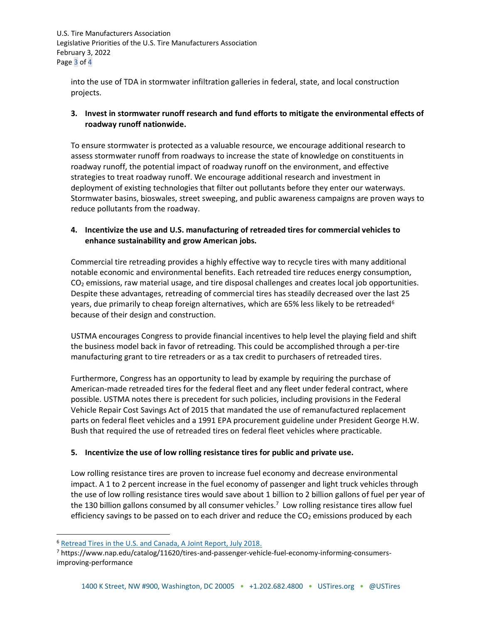U.S. Tire Manufacturers Association Legislative Priorities of the U.S. Tire Manufacturers Association February 3, 2022 Page 3 of 4

into the use of TDA in stormwater infiltration galleries in federal, state, and local construction projects.

## **3. Invest in stormwater runoff research and fund efforts to mitigate the environmental effects of roadway runoff nationwide.**

To ensure stormwater is protected as a valuable resource, we encourage additional research to assess stormwater runoff from roadways to increase the state of knowledge on constituents in roadway runoff, the potential impact of roadway runoff on the environment, and effective strategies to treat roadway runoff. We encourage additional research and investment in deployment of existing technologies that filter out pollutants before they enter our waterways. Stormwater basins, bioswales, street sweeping, and public awareness campaigns are proven ways to reduce pollutants from the roadway.

## **4. Incentivize the use and U.S. manufacturing of retreaded tires for commercial vehicles to enhance sustainability and grow American jobs.**

Commercial tire retreading provides a highly effective way to recycle tires with many additional notable economic and environmental benefits. Each retreaded tire reduces energy consumption,  $CO<sub>2</sub>$  emissions, raw material usage, and tire disposal challenges and creates local job opportunities. Despite these advantages, retreading of commercial tires has steadily decreased over the last 25 years, due primarily to cheap foreign alternatives, which are 65% less likely to be retreaded<sup>6</sup> because of their design and construction.

USTMA encourages Congress to provide financial incentives to help level the playing field and shift the business model back in favor of retreading. This could be accomplished through a per-tire manufacturing grant to tire retreaders or as a tax credit to purchasers of retreaded tires.

Furthermore, Congress has an opportunity to lead by example by requiring the purchase of American-made retreaded tires for the federal fleet and any fleet under federal contract, where possible. USTMA notes there is precedent for such policies, including provisions in the Federal Vehicle Repair Cost Savings Act of 2015 that mandated the use of remanufactured replacement parts on federal fleet vehicles and a 1991 EPA procurement guideline under President George H.W. Bush that required the use of retreaded tires on federal fleet vehicles where practicable.

## **5. Incentivize the use of low rolling resistance tires for public and private use.**

Low rolling resistance tires are proven to increase fuel economy and decrease environmental impact. A 1 to 2 percent increase in the fuel economy of passenger and light truck vehicles through the use of low rolling resistance tires would save about 1 billion to 2 billion gallons of fuel per year of the 130 billion gallons consumed by all consumer vehicles.<sup>7</sup> Low rolling resistance tires allow fuel efficiency savings to be passed on to each driver and reduce the  $CO<sub>2</sub>$  emissions produced by each

<sup>6</sup> Retread Tires in the U.S. [and Canada, A Joint Report, July 2018.](https://www.bandag.com/content/dam/bcs-sites/bandag/images/research-center/new-retread-report/Retread-Tires-In-US-Canada-Report-Web-07-11-2018.pdf)

<sup>7</sup> https://www.nap.edu/catalog/11620/tires-and-passenger-vehicle-fuel-economy-informing-consumersimproving-performance